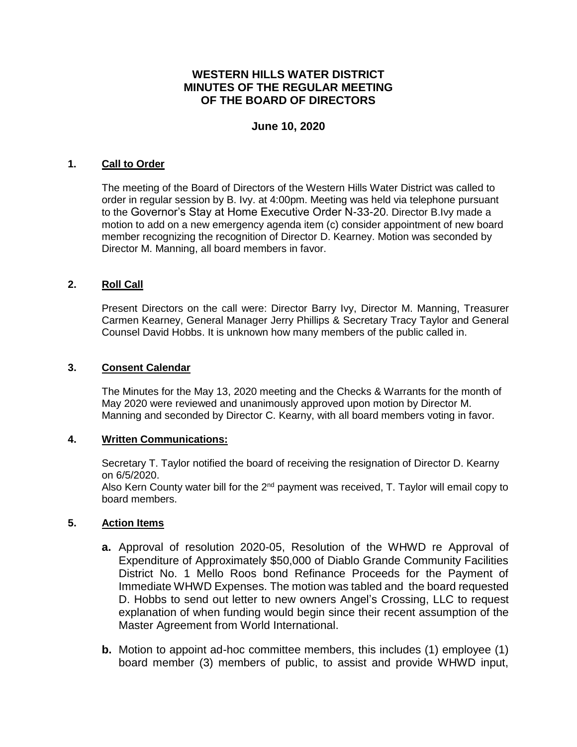# **WESTERN HILLS WATER DISTRICT MINUTES OF THE REGULAR MEETING OF THE BOARD OF DIRECTORS**

# **June 10, 2020**

#### **1. Call to Order**

The meeting of the Board of Directors of the Western Hills Water District was called to order in regular session by B. Ivy. at 4:00pm. Meeting was held via telephone pursuant to the Governor's Stay at Home Executive Order N-33-20. Director B.Ivy made a motion to add on a new emergency agenda item (c) consider appointment of new board member recognizing the recognition of Director D. Kearney. Motion was seconded by Director M. Manning, all board members in favor.

### **2. Roll Call**

Present Directors on the call were: Director Barry Ivy, Director M. Manning, Treasurer Carmen Kearney, General Manager Jerry Phillips & Secretary Tracy Taylor and General Counsel David Hobbs. It is unknown how many members of the public called in.

#### **3. Consent Calendar**

The Minutes for the May 13, 2020 meeting and the Checks & Warrants for the month of May 2020 were reviewed and unanimously approved upon motion by Director M. Manning and seconded by Director C. Kearny, with all board members voting in favor.

#### **4. Written Communications:**

Secretary T. Taylor notified the board of receiving the resignation of Director D. Kearny on 6/5/2020.

Also Kern County water bill for the 2<sup>nd</sup> payment was received, T. Taylor will email copy to board members.

#### **5. Action Items**

- **a.** Approval of resolution 2020-05, Resolution of the WHWD re Approval of Expenditure of Approximately \$50,000 of Diablo Grande Community Facilities District No. 1 Mello Roos bond Refinance Proceeds for the Payment of Immediate WHWD Expenses. The motion was tabled and the board requested D. Hobbs to send out letter to new owners Angel's Crossing, LLC to request explanation of when funding would begin since their recent assumption of the Master Agreement from World International.
- **b.** Motion to appoint ad-hoc committee members, this includes (1) employee (1) board member (3) members of public, to assist and provide WHWD input,